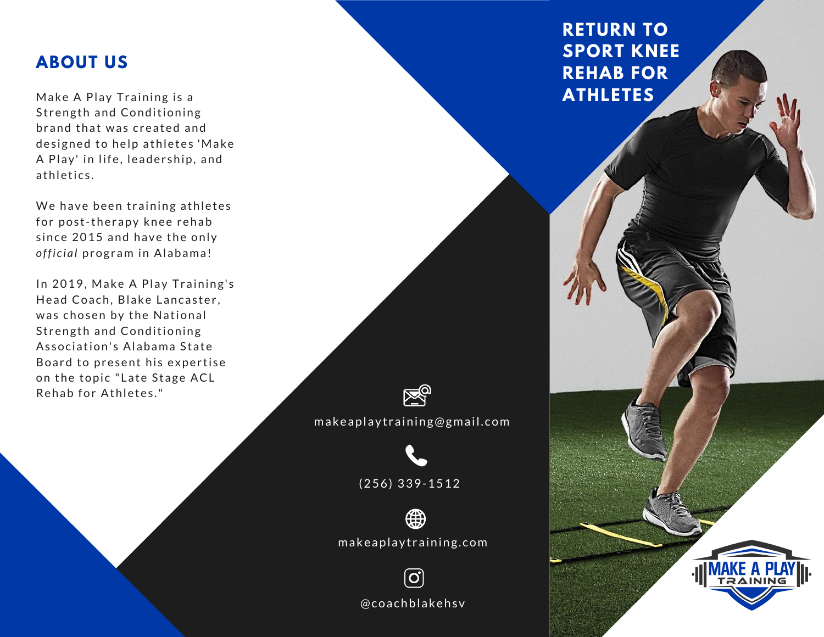## **ABOUT US**

Make A Play Training is a Strength and Conditioning br and that was created and designed to help athletes 'Make A Play' in life, leadership, and athletics.

official program in Alabama! We have been training athletes for post-therapy knee rehab since 2015 and have the only

In 2019, Make A Play Training's Head Coach, Blake Lancaster, was chosen by the National Strength and Conditioning Association's Alabama State Board to present his expertise on the topic "Late Stage ACL Rehab for Athletes."



m a k e a p l a y training@gmail.com



( 2 5 6) 3 3 9 - 1 5 1 2



m a k e a p l a y training.com

 $\boxed{\textcircled{\;}}$ @coachblakehsv

# **RETURN TO SPORT KNEE REHAB FOR ATHLETES**